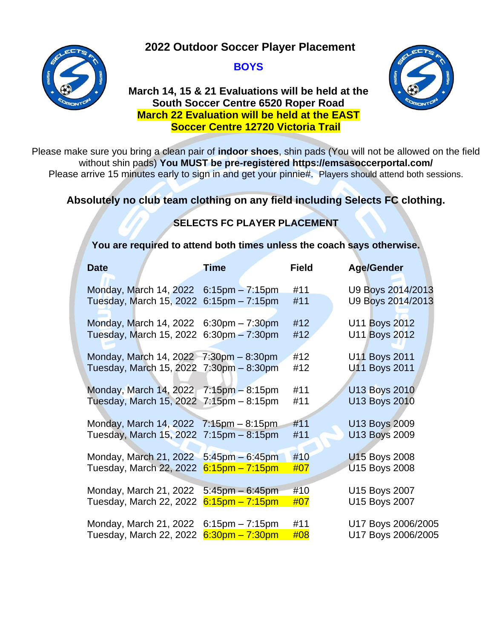**2022 Outdoor Soccer Player Placement**



#### **BOYS**

#### **March 14, 15 & 21 Evaluations will be held at the South Soccer Centre 6520 Roper Road March 22 Evaluation will be held at the EAST Soccer Centre 12720 Victoria Trail**



Please make sure you bring a clean pair of **indoor shoes**, shin pads (You will not be allowed on the field without shin pads) **You MUST be pre-registered https://emsasoccerportal.com/** Please arrive 15 minutes early to sign in and get your pinnie#. Players should attend both sessions.

# **Absolutely no club team clothing on any field including Selects FC clothing.**

# **SELECTS FC PLAYER PLACEMENT**

**You are required to attend both times unless the coach says otherwise.**

| <b>Date</b>                                               | <b>Time</b>          | <b>Field</b> | <b>Age/Gender</b>    |
|-----------------------------------------------------------|----------------------|--------------|----------------------|
|                                                           |                      |              |                      |
| Monday, March 14, 2022                                    | $6:15$ pm $-7:15$ pm | #11          | U9 Boys 2014/2013    |
| Tuesday, March 15, 2022                                   | $6:15$ pm $-7:15$ pm | #11          | U9 Boys 2014/2013    |
|                                                           |                      |              |                      |
| Monday, March 14, 2022 6:30pm - 7:30pm                    |                      | #12          | U11 Boys 2012        |
| Tuesday, March 15, 2022 6:30pm - 7:30pm                   |                      | #12          | <b>U11 Boys 2012</b> |
|                                                           |                      |              |                      |
| Monday, March 14, 2022 7:30pm - 8:30pm                    |                      | #12          | U11 Boys 2011        |
| Tuesday, March 15, 2022 7:30pm - 8:30pm                   |                      | #12          | <b>U11 Boys 2011</b> |
|                                                           |                      |              |                      |
| Monday, March 14, 2022 7:15pm - 8:15pm                    |                      | #11          | <b>U13 Boys 2010</b> |
| Tuesday, March 15, 2022 $7:15 \text{pm} - 8:15 \text{pm}$ |                      | #11          | <b>U13 Boys 2010</b> |
|                                                           |                      |              |                      |
| Monday, March 14, 2022 7:15pm - 8:15pm                    |                      | #11          | U13 Boys 2009        |
| Tuesday, March 15, 2022 7:15pm - 8:15pm                   |                      | #11          | <b>U13 Boys 2009</b> |
|                                                           |                      |              |                      |
|                                                           |                      |              |                      |
| Monday, March 21, 2022 5:45pm - 6:45pm                    |                      | #10          | <b>U15 Boys 2008</b> |
| Tuesday, March 22, 2022 6:15pm - 7:15pm                   |                      | #07          | <b>U15 Boys 2008</b> |
|                                                           |                      |              |                      |
| Monday, March 21, 2022                                    | $5:45$ pm $-6:45$ pm | #10          | U15 Boys 2007        |
| Tuesday, March 22, 2022                                   | $6:15$ pm – 7:15pm   | #07          | U15 Boys 2007        |
|                                                           |                      |              |                      |
| Monday, March 21, 2022                                    | $6:15$ pm $-7:15$ pm | #11          | U17 Boys 2006/2005   |
| Tuesday, March 22, 2022                                   | $6:30$ pm – 7:30pm   | #08          | U17 Boys 2006/2005   |